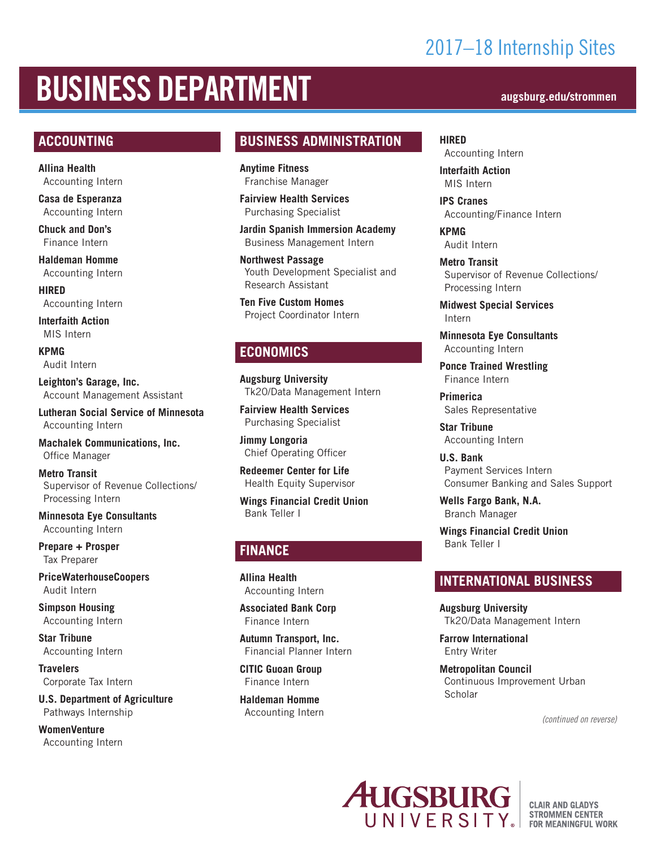## 2017–18 Internship Sites

# BUSINESS DEPARTMENT **augsburg.edu/strommen**

#### **ACCOUNTING**

**Allina Health** Accounting Intern

**Casa de Esperanza** Accounting Intern

**Chuck and Don's** Finance Intern

**Haldeman Homme** Accounting Intern

**HIRED** Accounting Intern

**Interfaith Action** MIS Intern

**KPMG** Audit Intern

**Leighton's Garage, Inc.** Account Management Assistant

**Lutheran Social Service of Minnesota** Accounting Intern

**Machalek Communications, Inc.** Office Manager

**Metro Transit** Supervisor of Revenue Collections/ Processing Intern

**Minnesota Eye Consultants** Accounting Intern

**Prepare + Prosper** Tax Preparer

**PriceWaterhouseCoopers** Audit Intern

**Simpson Housing** Accounting Intern

**Star Tribune** Accounting Intern

**Travelers** Corporate Tax Intern

**U.S. Department of Agriculture** Pathways Internship

**WomenVenture** Accounting Intern

#### **BUSINESS ADMINISTRATION**

**Anytime Fitness** Franchise Manager

**Fairview Health Services** Purchasing Specialist

**Jardin Spanish Immersion Academy** Business Management Intern

**Northwest Passage** Youth Development Specialist and Research Assistant

**Ten Five Custom Homes** Project Coordinator Intern

#### **ECONOMICS**

**Augsburg University** Tk20/Data Management Intern

**Fairview Health Services** Purchasing Specialist

**Jimmy Longoria** Chief Operating Officer

**Redeemer Center for Life** Health Equity Supervisor

**Wings Financial Credit Union** Bank Teller I

### **FINANCE**

**Allina Health** Accounting Intern

**Associated Bank Corp** Finance Intern

**Autumn Transport, Inc.** Financial Planner Intern

**CITIC Guoan Group**  Finance Intern

**Haldeman Homme** Accounting Intern

**HIRED** Accounting Intern

**Interfaith Action** MIS Intern

**IPS Cranes** Accounting/Finance Intern

**KPMG** Audit Intern

**Metro Transit** Supervisor of Revenue Collections/ Processing Intern

**Midwest Special Services** Intern

**Minnesota Eye Consultants** Accounting Intern

**Ponce Trained Wrestling** Finance Intern

**Primerica** Sales Representative

**Star Tribune** Accounting Intern

**U.S. Bank** Payment Services Intern Consumer Banking and Sales Support

**Wells Fargo Bank, N.A.** Branch Manager

**Wings Financial Credit Union** Bank Teller I

#### **INTERNATIONAL BUSINESS**

**Augsburg University**  Tk20/Data Management Intern

**Farrow International** Entry Writer

**Metropolitan Council** Continuous Improvement Urban **Scholar** 

*(continued on reverse)*



**CLAIR AND GLADYS STROMMEN CENTER FOR MEANINGFUL WORK**